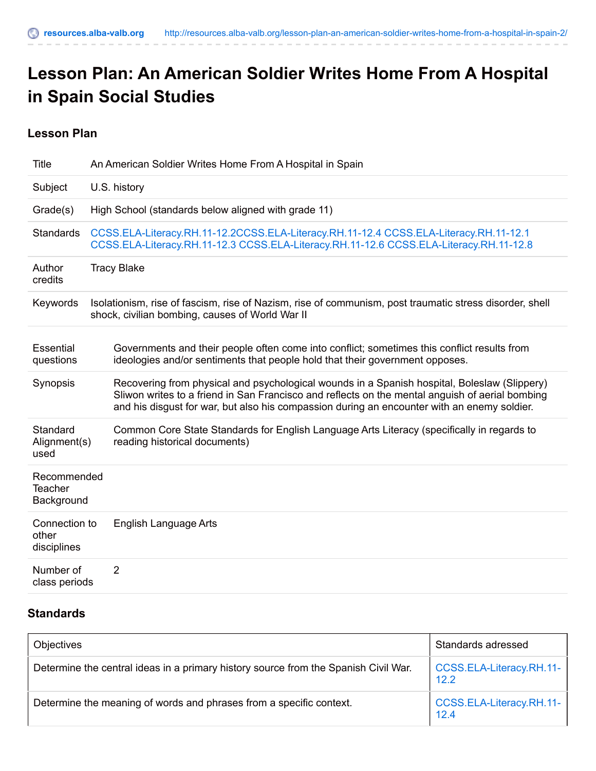# **Lesson Plan: An American Soldier Writes Home From A Hospital in Spain Social Studies**

### **Lesson Plan**

| <b>Title</b>                                | An American Soldier Writes Home From A Hospital in Spain                                                                                                                                                                                                                                       |  |
|---------------------------------------------|------------------------------------------------------------------------------------------------------------------------------------------------------------------------------------------------------------------------------------------------------------------------------------------------|--|
| Subject                                     | U.S. history                                                                                                                                                                                                                                                                                   |  |
| Grade(s)                                    | High School (standards below aligned with grade 11)                                                                                                                                                                                                                                            |  |
| <b>Standards</b>                            | CCSS.ELA-Literacy.RH.11-12.2CCSS.ELA-Literacy.RH.11-12.4 CCSS.ELA-Literacy.RH.11-12.1<br>CCSS.ELA-Literacy.RH.11-12.3 CCSS.ELA-Literacy.RH.11-12.6 CCSS.ELA-Literacy.RH.11-12.8                                                                                                                |  |
| Author<br>credits                           | <b>Tracy Blake</b>                                                                                                                                                                                                                                                                             |  |
| Keywords                                    | Isolationism, rise of fascism, rise of Nazism, rise of communism, post traumatic stress disorder, shell<br>shock, civilian bombing, causes of World War II                                                                                                                                     |  |
| <b>Essential</b><br>questions               | Governments and their people often come into conflict; sometimes this conflict results from<br>ideologies and/or sentiments that people hold that their government opposes.                                                                                                                    |  |
| Synopsis                                    | Recovering from physical and psychological wounds in a Spanish hospital, Boleslaw (Slippery)<br>Sliwon writes to a friend in San Francisco and reflects on the mental anguish of aerial bombing<br>and his disgust for war, but also his compassion during an encounter with an enemy soldier. |  |
| Standard<br>Alignment(s)<br>used            | Common Core State Standards for English Language Arts Literacy (specifically in regards to<br>reading historical documents)                                                                                                                                                                    |  |
| Recommended<br><b>Teacher</b><br>Background |                                                                                                                                                                                                                                                                                                |  |
| Connection to<br>other<br>disciplines       | <b>English Language Arts</b>                                                                                                                                                                                                                                                                   |  |
| Number of<br>class periods                  | $\overline{2}$                                                                                                                                                                                                                                                                                 |  |

# **Standards**

| Objectives                                                                          | Standards adressed               |
|-------------------------------------------------------------------------------------|----------------------------------|
| Determine the central ideas in a primary history source from the Spanish Civil War. | CCSS.ELA-Literacy.RH.11-<br>12.2 |
| Determine the meaning of words and phrases from a specific context.                 | CCSS.ELA-Literacy.RH.11-<br>12.4 |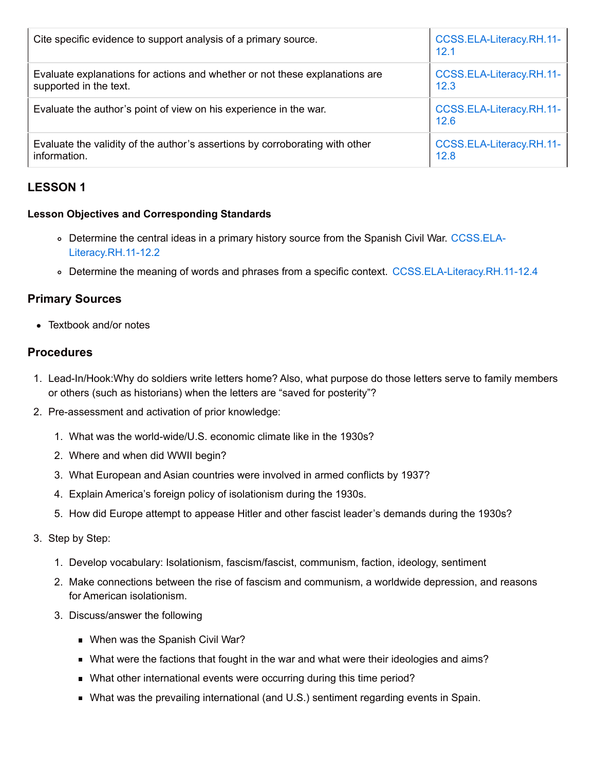| Cite specific evidence to support analysis of a primary source.              | CCSS.ELA-Literacy.RH.11-<br>12.1 |
|------------------------------------------------------------------------------|----------------------------------|
| Evaluate explanations for actions and whether or not these explanations are  | CCSS.ELA-Literacy.RH.11-         |
| supported in the text.                                                       | 12.3                             |
| Evaluate the author's point of view on his experience in the war.            | CCSS.ELA-Literacy.RH.11-<br>12.6 |
| Evaluate the validity of the author's assertions by corroborating with other | CCSS.ELA-Literacy.RH.11-         |
| information.                                                                 | 12.8                             |

# **LESSON 1**

#### **Lesson Objectives and Corresponding Standards**

- Determine the central ideas in a primary history source from the Spanish Civil War. CCSS.ELA-[Literacy.RH.11-12.2](http://www.corestandards.org/ELA-Literacy/RH/11-12/2/)
- o Determine the meaning of words and phrases from a specific context. [CCSS.ELA-Literacy.RH.11-12.4](http://www.corestandards.org/ELA-Literacy/RH/11-12/4/)

# **Primary Sources**

Textbook and/or notes

## **Procedures**

- 1. Lead-In/Hook:Why do soldiers write letters home? Also, what purpose do those letters serve to family members or others (such as historians) when the letters are "saved for posterity"?
- 2. Pre-assessment and activation of prior knowledge:
	- 1. What was the world-wide/U.S. economic climate like in the 1930s?
	- 2. Where and when did WWII begin?
	- 3. What European and Asian countries were involved in armed conflicts by 1937?
	- 4. Explain America's foreign policy of isolationism during the 1930s.
	- 5. How did Europe attempt to appease Hitler and other fascist leader's demands during the 1930s?
- 3. Step by Step:
	- 1. Develop vocabulary: Isolationism, fascism/fascist, communism, faction, ideology, sentiment
	- 2. Make connections between the rise of fascism and communism, a worldwide depression, and reasons for American isolationism.
	- 3. Discuss/answer the following
		- When was the Spanish Civil War?
		- What were the factions that fought in the war and what were their ideologies and aims?
		- What other international events were occurring during this time period?
		- What was the prevailing international (and U.S.) sentiment regarding events in Spain.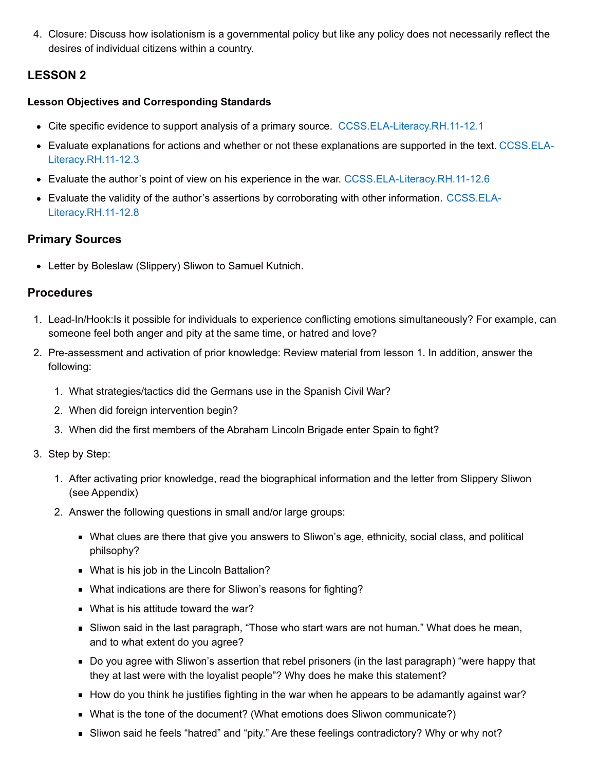4. Closure: Discuss how isolationism is a governmental policy but like any policy does not necessarily reflect the desires of individual citizens within a country.

# **LESSON 2**

#### **Lesson Objectives and Corresponding Standards**

- Cite specific evidence to support analysis of a primary source. [CCSS.ELA-Literacy.RH.11-12.1](http://www.corestandards.org/ELA-Literacy/RH/11-12/1/)
- Evaluate explanations for actions and whether or not these explanations are supported in the text. CCSS.ELA-[Literacy.RH.11-12.3](http://www.corestandards.org/ELA-Literacy/RH/11-12/3/)
- Evaluate the author's point of view on his experience in the war. [CCSS.ELA-Literacy.RH.11-12.6](http://www.corestandards.org/ELA-Literacy/RH/11-12/6/)
- Evaluate the validity of the author's assertions by corroborating with other information. CCSS.ELA-[Literacy.RH.11-12.8](http://www.corestandards.org/ELA-Literacy/RH/11-12/8/)

## **Primary Sources**

Letter by Boleslaw (Slippery) Sliwon to Samuel Kutnich.

## **Procedures**

- 1. Lead-In/Hook:Is it possible for individuals to experience conflicting emotions simultaneously? For example, can someone feel both anger and pity at the same time, or hatred and love?
- 2. Pre-assessment and activation of prior knowledge: Review material from lesson 1. In addition, answer the following:
	- 1. What strategies/tactics did the Germans use in the Spanish Civil War?
	- 2. When did foreign intervention begin?
	- 3. When did the first members of the Abraham Lincoln Brigade enter Spain to fight?
- 3. Step by Step:
	- 1. After activating prior knowledge, read the biographical information and the letter from Slippery Sliwon (see Appendix)
	- 2. Answer the following questions in small and/or large groups:
		- What clues are there that give you answers to Sliwon's age, ethnicity, social class, and political philsophy?
		- What is his job in the Lincoln Battalion?
		- What indications are there for Sliwon's reasons for fighting?
		- What is his attitude toward the war?
		- **Sliwon said in the last paragraph, "Those who start wars are not human." What does he mean,** and to what extent do you agree?
		- Do you agree with Sliwon's assertion that rebel prisoners (in the last paragraph) "were happy that they at last were with the loyalist people"? Why does he make this statement?
		- How do you think he justifies fighting in the war when he appears to be adamantly against war?
		- What is the tone of the document? (What emotions does Sliwon communicate?)
		- Sliwon said he feels "hatred" and "pity." Are these feelings contradictory? Why or why not?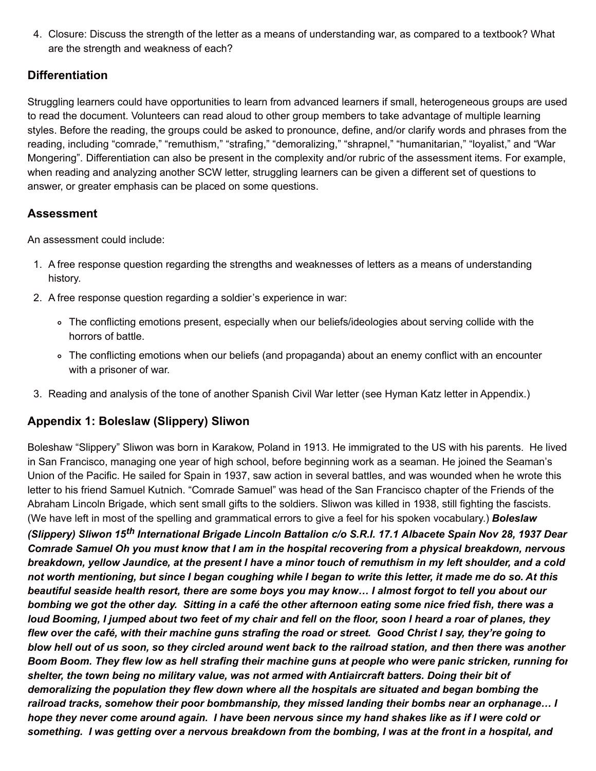4. Closure: Discuss the strength of the letter as a means of understanding war, as compared to a textbook? What are the strength and weakness of each?

## **Differentiation**

Struggling learners could have opportunities to learn from advanced learners if small, heterogeneous groups are used to read the document. Volunteers can read aloud to other group members to take advantage of multiple learning styles. Before the reading, the groups could be asked to pronounce, define, and/or clarify words and phrases from the reading, including "comrade," "remuthism," "strafing," "demoralizing," "shrapnel," "humanitarian," "loyalist," and "War Mongering". Differentiation can also be present in the complexity and/or rubric of the assessment items. For example, when reading and analyzing another SCW letter, struggling learners can be given a different set of questions to answer, or greater emphasis can be placed on some questions.

## **Assessment**

An assessment could include:

- 1. A free response question regarding the strengths and weaknesses of letters as a means of understanding history.
- 2. A free response question regarding a soldier's experience in war:
	- The conflicting emotions present, especially when our beliefs/ideologies about serving collide with the horrors of battle.
	- The conflicting emotions when our beliefs (and propaganda) about an enemy conflict with an encounter with a prisoner of war.
- 3. Reading and analysis of the tone of another Spanish Civil War letter (see Hyman Katz letter in Appendix.)

# **Appendix 1: Boleslaw (Slippery) Sliwon**

Boleshaw "Slippery" Sliwon was born in Karakow, Poland in 1913. He immigrated to the US with his parents. He lived in San Francisco, managing one year of high school, before beginning work as a seaman. He joined the Seaman's Union of the Pacific. He sailed for Spain in 1937, saw action in several battles, and was wounded when he wrote this letter to his friend Samuel Kutnich. "Comrade Samuel" was head of the San Francisco chapter of the Friends of the Abraham Lincoln Brigade, which sent small gifts to the soldiers. Sliwon was killed in 1938, still fighting the fascists. (We have left in most of the spelling and grammatical errors to give a feel for his spoken vocabulary.) *Boleslaw* (Slippery) Sliwon 15<sup>th</sup> International Brigade Lincoln Battalion c/o S.R.I. 17.1 Albacete Spain Nov 28, 1937 Dear Comrade Samuel Oh you must know that I am in the hospital recovering from a physical breakdown, nervous breakdown, yellow Jaundice, at the present I have a minor touch of remuthism in my left shoulder, and a cold not worth mentioning, but since I began coughing while I began to write this letter, it made me do so. At this beautiful seaside health resort, there are some boys you may know... I almost forgot to tell you about our bombing we got the other day. Sitting in a café the other afternoon eating some nice fried fish, there was a loud Booming, I jumped about two feet of my chair and fell on the floor, soon I heard a roar of planes, they flew over the café, with their machine guns strafing the road or street. Good Christ I say, they're going to blow hell out of us soon, so they circled around went back to the railroad station, and then there was another Boom Boom. They flew low as hell strafing their machine guns at people who were panic stricken, running for *shelter, the town being no military value, was not armed with Antiaircraft batters. Doing their bit of demoralizing the population they flew down where all the hospitals are situated and began bombing the railroad tracks, somehow their poor bombmanship, they missed landing their bombs near an orphanage… I* hope they never come around again. I have been nervous since my hand shakes like as if I were cold or something. I was getting over a nervous breakdown from the bombing, I was at the front in a hospital, and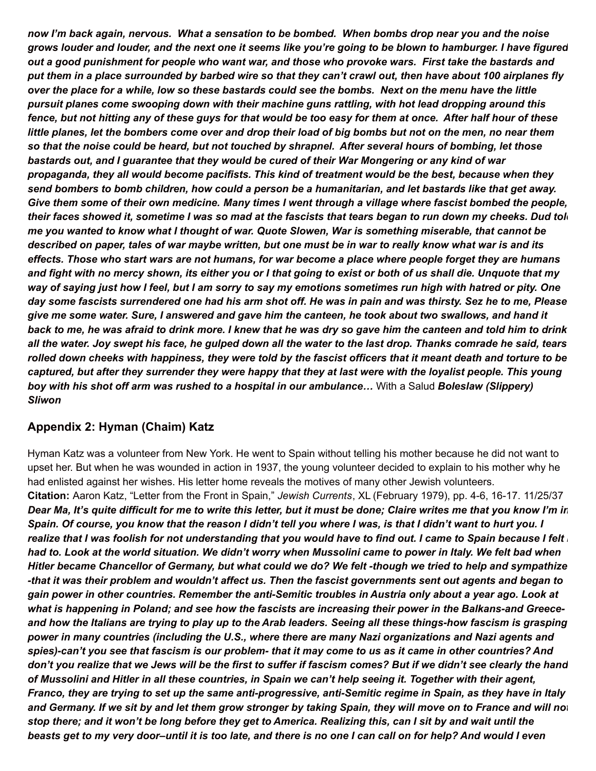now I'm back again, nervous. What a sensation to be bombed. When bombs drop near you and the noise grows louder and louder, and the next one it seems like you're going to be blown to hamburger. I have figured out a good punishment for people who want war, and those who provoke wars. First take the bastards and put them in a place surrounded by barbed wire so that they can't crawl out, then have about 100 airplanes fly over the place for a while, low so these bastards could see the bombs. Next on the menu have the little *pursuit planes come swooping down with their machine guns rattling, with hot lead dropping around this* fence, but not hitting any of these guys for that would be too easy for them at once. After half hour of these little planes, let the bombers come over and drop their load of big bombs but not on the men, no near them so that the noise could be heard, but not touched by shrapnel. After several hours of bombing, let those bastards out, and I guarantee that they would be cured of their War Mongering or any kind of war *propaganda, they all would become pacifists. This kind of treatment would be the best, because when they* send bombers to bomb children, how could a person be a humanitarian, and let bastards like that get away. Give them some of their own medicine. Many times I went through a village where fascist bombed the people, their faces showed it, sometime I was so mad at the fascists that tears began to run down my cheeks. Dud tole me you wanted to know what I thought of war. Quote Slowen, War is something miserable, that cannot be described on paper, tales of war maybe written, but one must be in war to really know what war is and its effects. Those who start wars are not humans, for war become a place where people forget they are humans and fight with no mercy shown, its either you or I that going to exist or both of us shall die. Unquote that my way of saying just how I feel, but I am sorry to say my emotions sometimes run high with hatred or pity. One day some fascists surrendered one had his arm shot off. He was in pain and was thirsty. Sez he to me, Please give me some water. Sure, I answered and gave him the canteen, he took about two swallows, and hand it back to me, he was afraid to drink more. I knew that he was dry so gave him the canteen and told him to drink all the water. Joy swept his face, he gulped down all the water to the last drop. Thanks comrade he said, tears rolled down cheeks with happiness, they were told by the fascist officers that it meant death and torture to be captured, but after they surrender they were happy that they at last were with the loyalist people. This young *boy with his shot off arm was rushed to a hospital in our ambulance…* With a Salud *Boleslaw (Slippery) Sliwon*

## **Appendix 2: Hyman (Chaim) Katz**

Hyman Katz was a volunteer from New York. He went to Spain without telling his mother because he did not want to upset her. But when he was wounded in action in 1937, the young volunteer decided to explain to his mother why he had enlisted against her wishes. His letter home reveals the motives of many other Jewish volunteers. **Citation:** Aaron Katz, "Letter from the Front in Spain," *Jewish Currents*, XL (February 1979), pp. 4-6, 16-17. 11/25/37 Dear Ma, It's quite difficult for me to write this letter, but it must be done; Claire writes me that you know I'm in Spain. Of course, you know that the reason I didn't tell you where I was, is that I didn't want to hurt you. I realize that I was foolish for not understanding that you would have to find out. I came to Spain because I felt had to. Look at the world situation. We didn't worry when Mussolini came to power in Italy. We felt bad when Hitler became Chancellor of Germany, but what could we do? We felt -though we tried to help and sympathize -that it was their problem and wouldn't affect us. Then the fascist governments sent out agents and began to gain power in other countries. Remember the anti-Semitic troubles in Austria only about a year ago. Look at what is happening in Poland; and see how the fascists are increasing their power in the Balkans-and Greeceand how the Italians are trying to play up to the Arab leaders. Seeing all these things-how fascism is grasping *power in many countries (including the U.S., where there are many Nazi organizations and Nazi agents and* spies)-can't you see that fascism is our problem- that it may come to us as it came in other countries? And don't vou realize that we Jews will be the first to suffer if fascism comes? But if we didn't see clearly the hand of Mussolini and Hitler in all these countries, in Spain we can't help seeing it. Together with their agent, Franco, they are trying to set up the same anti-progressive, anti-Semitic regime in Spain, as they have in Italy and Germany. If we sit by and let them grow stronger by taking Spain, they will move on to France and will not stop there; and it won't be long before they get to America. Realizing this, can I sit by and wait until the beasts get to my very door–until it is too late, and there is no one I can call on for help? And would I even